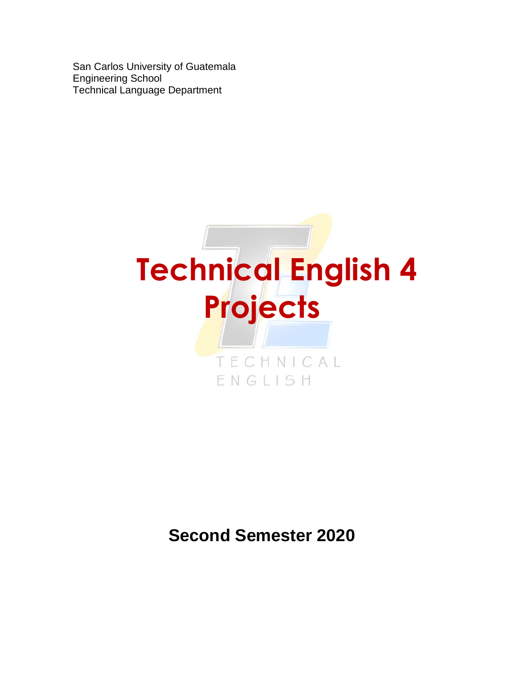San Carlos University of Guatemala Engineering School Technical Language Department



# **Second Semester 2020**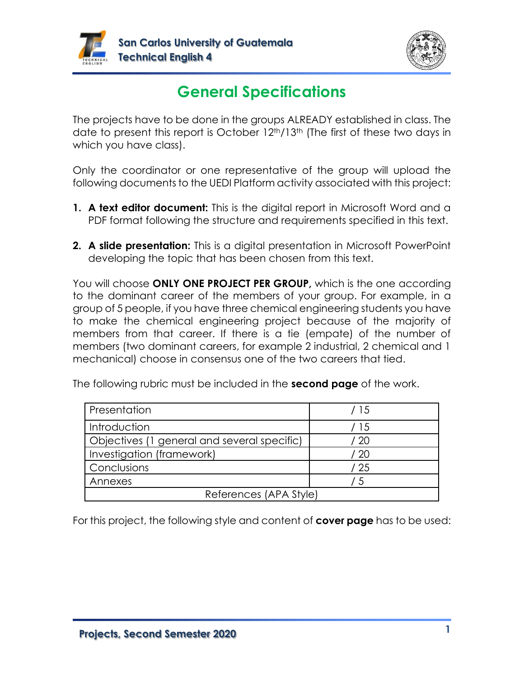



## **General Specifications**

The projects have to be done in the groups ALREADY established in class. The date to present this report is October 12th/13th (The first of these two days in which you have class).

Only the coordinator or one representative of the group will upload the following documents to the UEDI Platform activity associated with this project:

- **1. A text editor document:** This is the digital report in Microsoft Word and a PDF format following the structure and requirements specified in this text.
- **2. A slide presentation:** This is a digital presentation in Microsoft PowerPoint developing the topic that has been chosen from this text.

You will choose **ONLY ONE PROJECT PER GROUP,** which is the one according to the dominant career of the members of your group. For example, in a group of 5 people, if you have three chemical engineering students you have to make the chemical engineering project because of the majority of members from that career. If there is a tie (empate) of the number of members (two dominant careers, for example 2 industrial, 2 chemical and 1 mechanical) choose in consensus one of the two careers that tied.

| Presentation                                | / 15 |  |  |  |  |
|---------------------------------------------|------|--|--|--|--|
| Introduction                                | -15  |  |  |  |  |
| Objectives (1 general and several specific) | 20   |  |  |  |  |
| Investigation (framework)                   | -20  |  |  |  |  |
| Conclusions                                 | / 25 |  |  |  |  |
| Annexes                                     | -5   |  |  |  |  |
| References (APA Style)                      |      |  |  |  |  |

The following rubric must be included in the **second page** of the work.

For this project, the following style and content of **cover page** has to be used: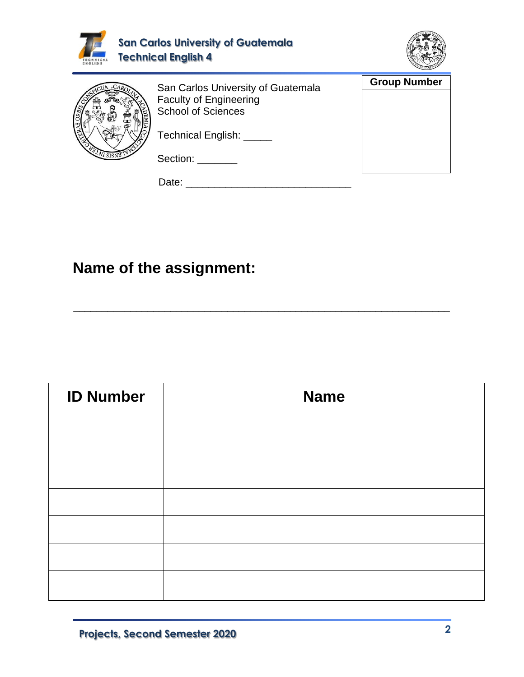

\_\_\_\_\_\_\_\_\_\_\_\_\_\_\_\_\_\_\_\_\_\_\_\_\_\_\_\_\_\_\_\_\_\_\_\_\_\_\_\_\_\_\_\_\_\_\_\_\_\_\_\_\_\_\_\_\_\_\_\_\_\_\_\_\_\_

## **Name of the assignment:**

| <b>Name</b> |
|-------------|
|             |
|             |
|             |
|             |
|             |
|             |
|             |
|             |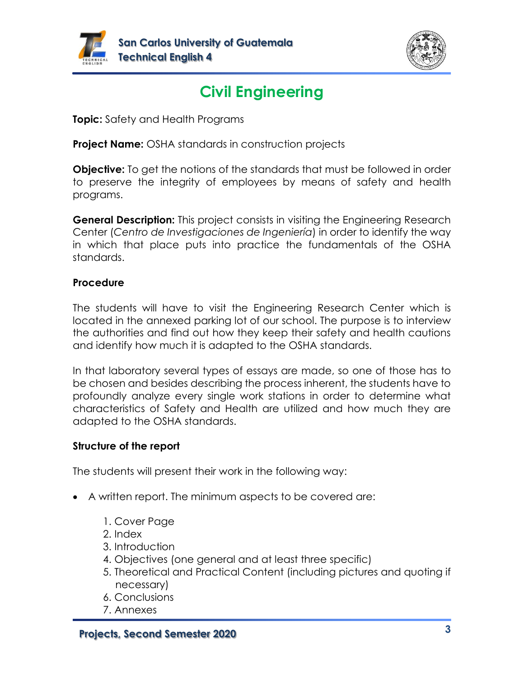



# **Civil Engineering**

**Topic:** Safety and Health Programs

**Project Name:** OSHA standards in construction projects

**Objective:** To get the notions of the standards that must be followed in order to preserve the integrity of employees by means of safety and health programs.

**General Description:** This project consists in visiting the Engineering Research Center (*Centro de Investigaciones de Ingeniería*) in order to identify the way in which that place puts into practice the fundamentals of the OSHA standards.

#### **Procedure**

The students will have to visit the Engineering Research Center which is located in the annexed parking lot of our school. The purpose is to interview the authorities and find out how they keep their safety and health cautions and identify how much it is adapted to the OSHA standards.

In that laboratory several types of essays are made, so one of those has to be chosen and besides describing the process inherent, the students have to profoundly analyze every single work stations in order to determine what characteristics of Safety and Health are utilized and how much they are adapted to the OSHA standards.

#### **Structure of the report**

- A written report. The minimum aspects to be covered are:
	- 1. Cover Page
	- 2. Index
	- 3. Introduction
	- 4. Objectives (one general and at least three specific)
	- 5. Theoretical and Practical Content (including pictures and quoting if necessary)
	- 6. Conclusions
	- 7. Annexes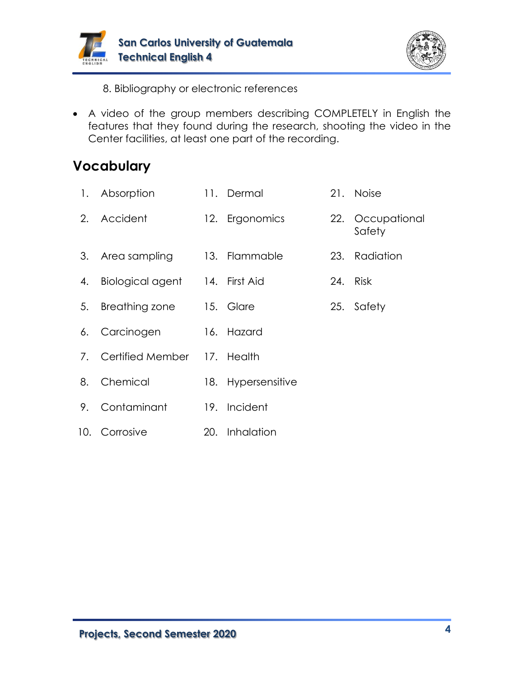



8. Bibliography or electronic references

• A video of the group members describing COMPLETELY in English the features that they found during the research, shooting the video in the Center facilities, at least one part of the recording.

|    | 1. Absorption                  | 11. Dermal         | 21. Noise                  |
|----|--------------------------------|--------------------|----------------------------|
| 2. | Accident                       | 12. Ergonomics     | 22. Occupational<br>Safety |
|    | 3. Area sampling 13. Flammable |                    | 23. Radiation              |
| 4. | Biological agent 14. First Aid |                    | 24. Risk                   |
| 5. | Breathing zone                 | 15. Glare          | 25. Safety                 |
| 6. | Carcinogen                     | 16. Hazard         |                            |
|    | 7. Certified Member 17. Health |                    |                            |
| 8. | Chemical                       | 18. Hypersensitive |                            |
| 9. | Contaminant                    | 19. Incident       |                            |
|    | 10. Corrosive                  | 20. Inhalation     |                            |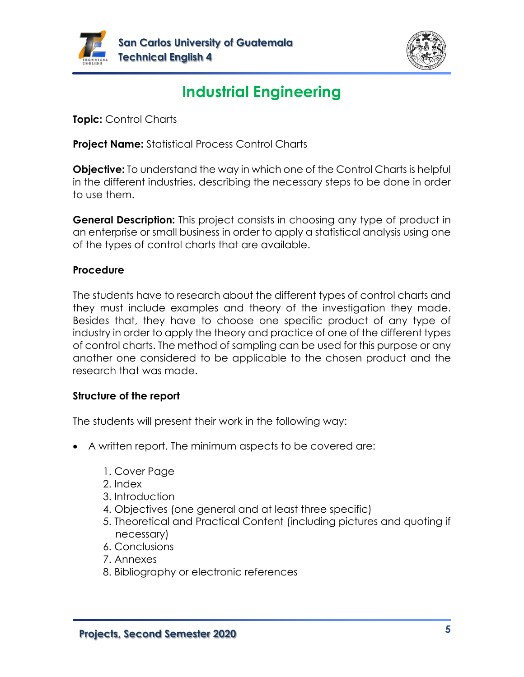



## **Industrial Engineering**

**Topic:** Control Charts

**Project Name:** Statistical Process Control Charts

**Objective:** To understand the way in which one of the Control Charts is helpful in the different industries, describing the necessary steps to be done in order to use them.

**General Description:** This project consists in choosing any type of product in an enterprise or small business in order to apply a statistical analysis using one of the types of control charts that are available.

#### **Procedure**

The students have to research about the different types of control charts and they must include examples and theory of the investigation they made. Besides that, they have to choose one specific product of any type of industry in order to apply the theory and practice of one of the different types of control charts. The method of sampling can be used for this purpose or any another one considered to be applicable to the chosen product and the research that was made.

#### **Structure of the report**

- A written report. The minimum aspects to be covered are:
	- 1. Cover Page
	- 2. Index
	- 3. Introduction
	- 4. Objectives (one general and at least three specific)
	- 5. Theoretical and Practical Content (including pictures and quoting if necessary)
	- 6. Conclusions
	- 7. Annexes
	- 8. Bibliography or electronic references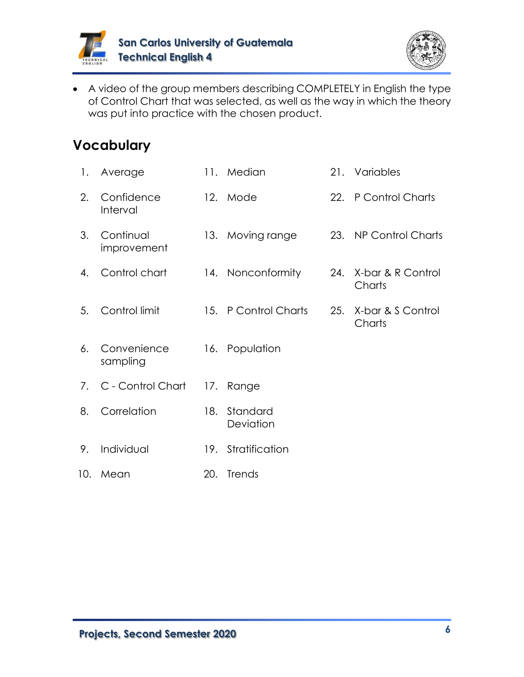



• A video of the group members describing COMPLETELY in English the type of Control Chart that was selected, as well as the way in which the theory was put into practice with the chosen product.

| $\mathbf{1}$ . | Average                  |     | 11. Median            |     | 21. Variables               |
|----------------|--------------------------|-----|-----------------------|-----|-----------------------------|
| 2.             | Confidence<br>Interval   |     | 12. Mode              |     | 22. P Control Charts        |
| 3.             | Continual<br>improvement |     | 13. Moving range      |     | 23. NP Control Charts       |
| 4.             | Control chart            |     | 14. Nonconformity     | 24. | X-bar & R Control<br>Charts |
| 5.             | Control limit            |     | 15. P Control Charts  | 25. | X-bar & S Control<br>Charts |
| 6.             | Convenience<br>sampling  |     | 16. Population        |     |                             |
|                | 7. C - Control Chart     |     | 17. Range             |     |                             |
| 8.             | Correlation              | 18. | Standard<br>Deviation |     |                             |
| 9.             | Individual               |     | 19. Stratification    |     |                             |
| 10.            | Mean                     | 20. | Trends                |     |                             |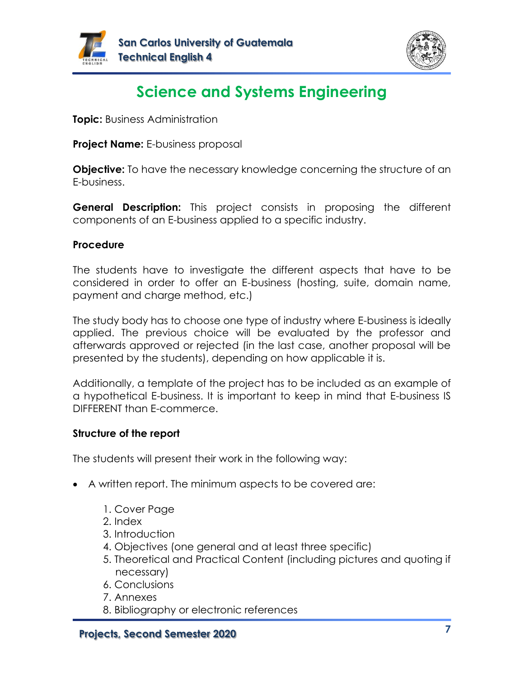



# **Science and Systems Engineering**

**Topic:** Business Administration

**Project Name:** E-business proposal

**Objective:** To have the necessary knowledge concerning the structure of an E-business.

**General Description:** This project consists in proposing the different components of an E-business applied to a specific industry.

#### **Procedure**

The students have to investigate the different aspects that have to be considered in order to offer an E-business (hosting, suite, domain name, payment and charge method, etc.)

The study body has to choose one type of industry where E-business is ideally applied. The previous choice will be evaluated by the professor and afterwards approved or rejected (in the last case, another proposal will be presented by the students), depending on how applicable it is.

Additionally, a template of the project has to be included as an example of a hypothetical E-business. It is important to keep in mind that E-business IS DIFFERENT than E-commerce.

#### **Structure of the report**

- A written report. The minimum aspects to be covered are:
	- 1. Cover Page
	- 2. Index
	- 3. Introduction
	- 4. Objectives (one general and at least three specific)
	- 5. Theoretical and Practical Content (including pictures and quoting if necessary)
	- 6. Conclusions
	- 7. Annexes
	- 8. Bibliography or electronic references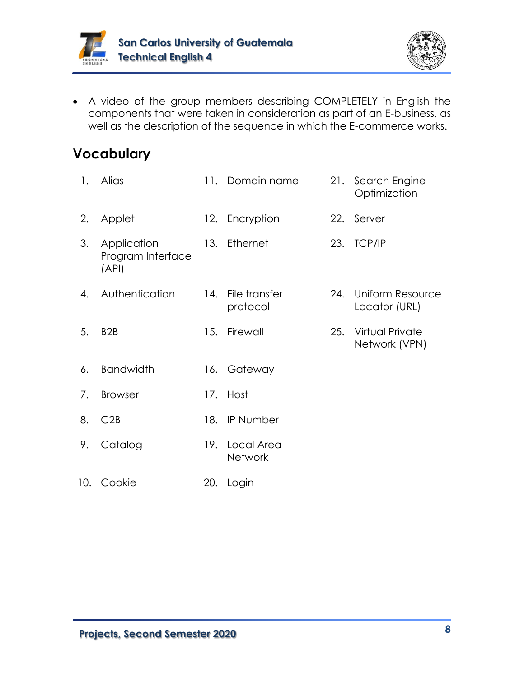



• A video of the group members describing COMPLETELY in English the components that were taken in consideration as part of an E-business, as well as the description of the sequence in which the E-commerce works.

| 1.  | Alias                                     |     | 11. Domain name              | 21. | Search Engine<br>Optimization     |
|-----|-------------------------------------------|-----|------------------------------|-----|-----------------------------------|
| 2.  | Applet                                    |     | 12. Encryption               | 22. | Server                            |
| 3.  | Application<br>Program Interface<br>(API) |     | 13. Ethernet                 | 23. | TCP/IP                            |
| 4.  | Authentication                            | 14. | File transfer<br>protocol    | 24. | Uniform Resource<br>Locator (URL) |
| 5.  | B <sub>2</sub> B                          | 15. | Firewall                     | 25. | Virtual Private<br>Network (VPN)  |
| 6.  | <b>Bandwidth</b>                          |     | 16. Gateway                  |     |                                   |
| 7.  | <b>Browser</b>                            | 17. | Host                         |     |                                   |
| 8.  | C2B                                       | 18. | IP Number                    |     |                                   |
| 9.  | Catalog                                   | 19. | Local Area<br><b>Network</b> |     |                                   |
| 10. | Cookie                                    | 20. | Login                        |     |                                   |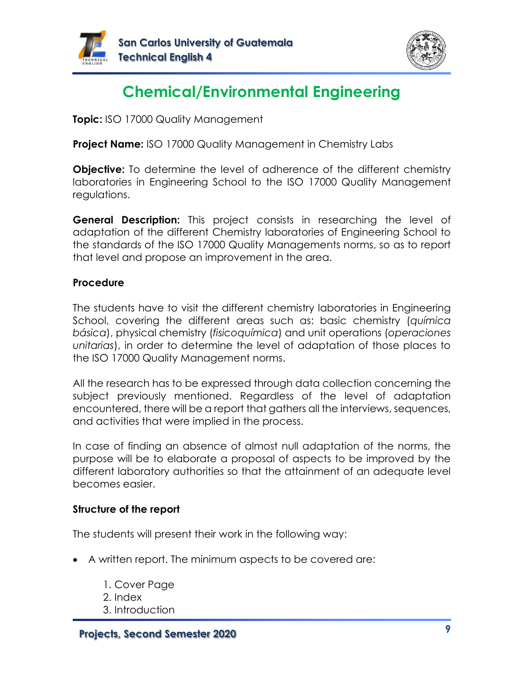



# **Chemical/Environmental Engineering**

**Topic:** ISO 17000 Quality Management

**Project Name:** ISO 17000 Quality Management in Chemistry Labs

**Objective:** To determine the level of adherence of the different chemistry laboratories in Engineering School to the ISO 17000 Quality Management regulations.

**General Description:** This project consists in researching the level of adaptation of the different Chemistry laboratories of Engineering School to the standards of the ISO 17000 Quality Managements norms, so as to report that level and propose an improvement in the area.

#### **Procedure**

The students have to visit the different chemistry laboratories in Engineering School, covering the different areas such as: basic chemistry (*química básica*), physical chemistry (*fisicoquímica*) and unit operations (*operaciones unitarias*), in order to determine the level of adaptation of those places to the ISO 17000 Quality Management norms.

All the research has to be expressed through data collection concerning the subject previously mentioned. Regardless of the level of adaptation encountered, there will be a report that gathers all the interviews, sequences, and activities that were implied in the process.

In case of finding an absence of almost null adaptation of the norms, the purpose will be to elaborate a proposal of aspects to be improved by the different laboratory authorities so that the attainment of an adequate level becomes easier.

#### **Structure of the report**

- A written report. The minimum aspects to be covered are:
	- 1. Cover Page 2. Index 3. Introduction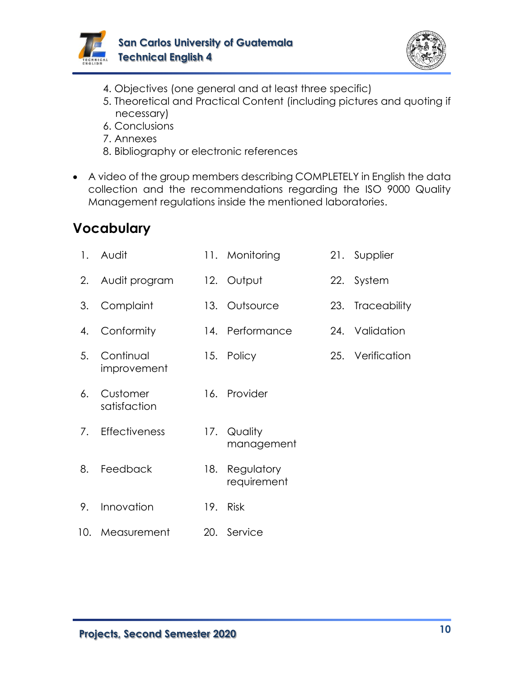



- 4. Objectives (one general and at least three specific)
- 5. Theoretical and Practical Content (including pictures and quoting if necessary)
- 6. Conclusions
- 7. Annexes
- 8. Bibliography or electronic references
- A video of the group members describing COMPLETELY in English the data collection and the recommendations regarding the ISO 9000 Quality Management regulations inside the mentioned laboratories.

| 1. | Audit                    |     | 11. Monitoring            | 21. Supplier     |
|----|--------------------------|-----|---------------------------|------------------|
|    | 2. Audit program         |     | 12. Output                | 22. System       |
| 3. | Complaint                |     | 13. Outsource             | 23. Traceability |
| 4. | Conformity               |     | 14. Performance           | 24. Validation   |
| 5. | Continual<br>improvement |     | 15. Policy                | 25. Verification |
| 6. | Customer<br>satisfaction |     | 16. Provider              |                  |
| 7. | <b>Effectiveness</b>     |     | 17. Quality<br>management |                  |
| 8. | Feedback                 | 18. | Regulatory<br>requirement |                  |
| 9. | Innovation               |     | 19. Risk                  |                  |
|    | 10. Measurement          |     | 20. Service               |                  |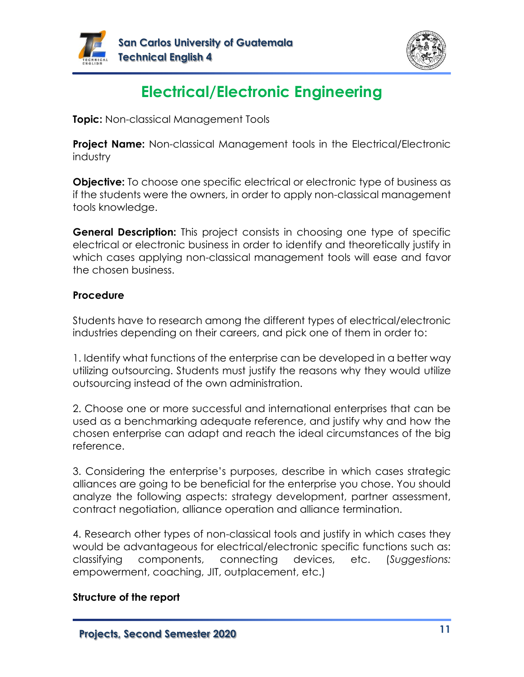



# **Electrical/Electronic Engineering**

**Topic:** Non-classical Management Tools

**Project Name:** Non-classical Management tools in the Electrical/Electronic industry

**Objective:** To choose one specific electrical or electronic type of business as if the students were the owners, in order to apply non-classical management tools knowledge.

**General Description:** This project consists in choosing one type of specific electrical or electronic business in order to identify and theoretically justify in which cases applying non-classical management tools will ease and favor the chosen business.

#### **Procedure**

Students have to research among the different types of electrical/electronic industries depending on their careers, and pick one of them in order to:

1. Identify what functions of the enterprise can be developed in a better way utilizing outsourcing. Students must justify the reasons why they would utilize outsourcing instead of the own administration.

2. Choose one or more successful and international enterprises that can be used as a benchmarking adequate reference, and justify why and how the chosen enterprise can adapt and reach the ideal circumstances of the big reference.

3. Considering the enterprise's purposes, describe in which cases strategic alliances are going to be beneficial for the enterprise you chose. You should analyze the following aspects: strategy development, partner assessment, contract negotiation, alliance operation and alliance termination.

4. Research other types of non-classical tools and justify in which cases they would be advantageous for electrical/electronic specific functions such as: classifying components, connecting devices, etc. (*Suggestions:* empowerment, coaching, JIT, outplacement, etc.)

#### **Structure of the report**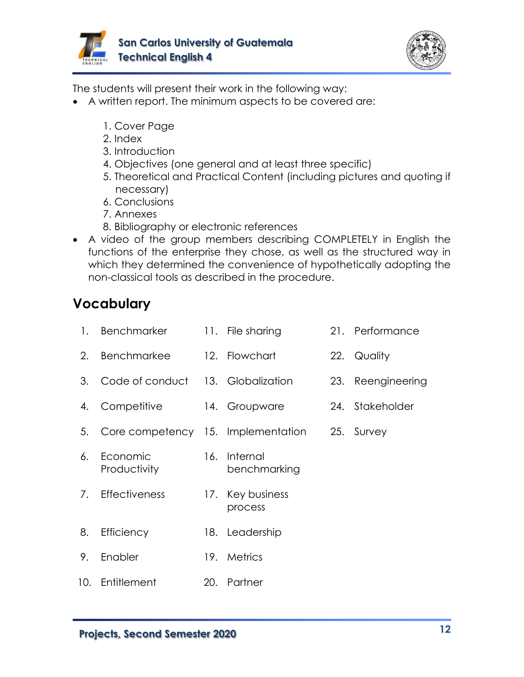



The students will present their work in the following way:

- A written report. The minimum aspects to be covered are:
	- 1. Cover Page
	- 2. Index
	- 3. Introduction
	- 4. Objectives (one general and at least three specific)
	- 5. Theoretical and Practical Content (including pictures and quoting if necessary)
	- 6. Conclusions
	- 7. Annexes
	- 8. Bibliography or electronic references
- A video of the group members describing COMPLETELY in English the functions of the enterprise they chose, as well as the structured way in which they determined the convenience of hypothetically adopting the non-classical tools as described in the procedure.

| 1. | Benchmarker                       | 11. File sharing                              | 21. Performance   |
|----|-----------------------------------|-----------------------------------------------|-------------------|
| 2. | Benchmarkee                       | 12. Flowchart                                 | 22. Quality       |
| 3. | Code of conduct 13. Globalization |                                               | 23. Reengineering |
| 4. | Competitive                       | 14. Groupware                                 | 24. Stakeholder   |
| 5. |                                   | Core competency 15. Implementation 25. Survey |                   |
| 6. | Economic<br>Productivity          | 16. Internal<br>benchmarking                  |                   |
| 7. | <b>Effectiveness</b>              | 17. Key business<br>process                   |                   |
| 8. | Efficiency                        | 18. Leadership                                |                   |
| 9. | Enabler                           | 19. Metrics                                   |                   |
|    | 10. Entitlement                   | 20. Partner                                   |                   |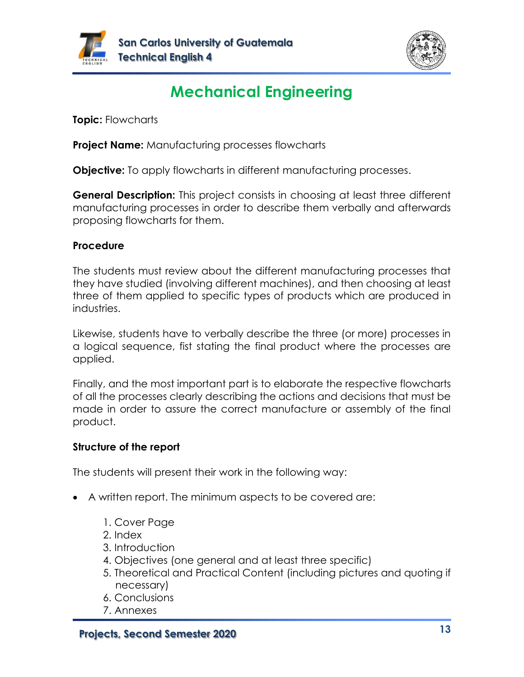



# **Mechanical Engineering**

**Topic:** Flowcharts

**Project Name:** Manufacturing processes flowcharts

**Objective:** To apply flowcharts in different manufacturing processes.

**General Description:** This project consists in choosing at least three different manufacturing processes in order to describe them verbally and afterwards proposing flowcharts for them.

#### **Procedure**

The students must review about the different manufacturing processes that they have studied (involving different machines), and then choosing at least three of them applied to specific types of products which are produced in industries.

Likewise, students have to verbally describe the three (or more) processes in a logical sequence, fist stating the final product where the processes are applied.

Finally, and the most important part is to elaborate the respective flowcharts of all the processes clearly describing the actions and decisions that must be made in order to assure the correct manufacture or assembly of the final product.

#### **Structure of the report**

- A written report. The minimum aspects to be covered are:
	- 1. Cover Page
	- 2. Index
	- 3. Introduction
	- 4. Objectives (one general and at least three specific)
	- 5. Theoretical and Practical Content (including pictures and quoting if necessary)
	- 6. Conclusions
	- 7. Annexes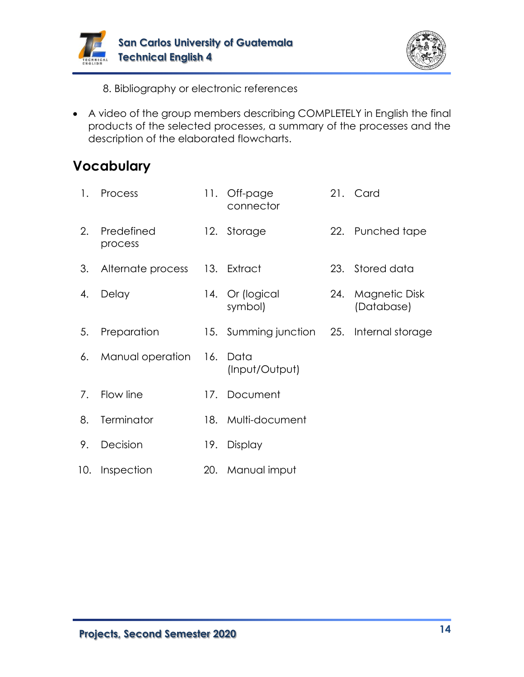



8. Bibliography or electronic references

• A video of the group members describing COMPLETELY in English the final products of the selected processes, a summary of the processes and the description of the elaborated flowcharts.

| 1.  | Process               | 11. | Off-page<br>connector                     |     | 21. Card                    |
|-----|-----------------------|-----|-------------------------------------------|-----|-----------------------------|
| 2.  | Predefined<br>process |     | 12. Storage                               |     | 22. Punched tape            |
| 3.  | Alternate process     |     | 13. Extract                               | 23. | Stored data                 |
| 4.  | Delay                 |     | 14. Or (logical<br>symbol)                | 24. | Magnetic Disk<br>(Database) |
| 5.  | Preparation           |     | 15. Summing junction 25. Internal storage |     |                             |
| 6.  | Manual operation      | 16. | Data<br>(Input/Output)                    |     |                             |
| 7.  | Flow line             |     | 17. Document                              |     |                             |
| 8.  | Terminator            |     | 18. Multi-document                        |     |                             |
| 9.  | Decision              |     | 19. Display                               |     |                             |
| 10. | Inspection            |     | 20. Manual imput                          |     |                             |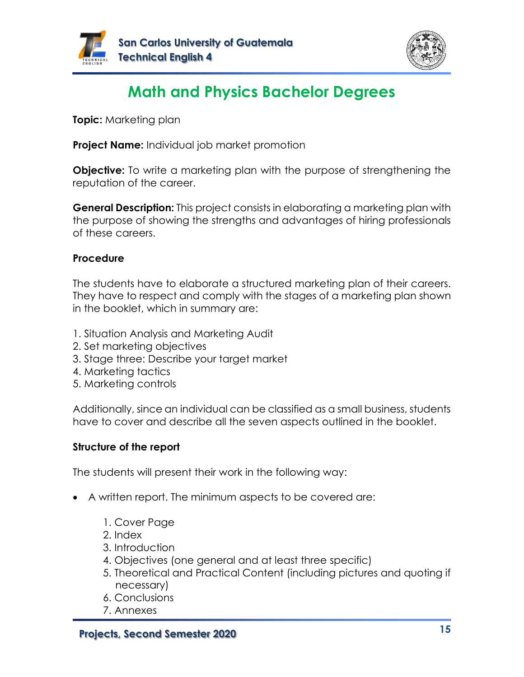



# **Math and Physics Bachelor Degrees**

**Topic:** Marketing plan

**Project Name:** Individual job market promotion

**Objective:** To write a marketing plan with the purpose of strengthening the reputation of the career.

**General Description:** This project consists in elaborating a marketing plan with the purpose of showing the strengths and advantages of hiring professionals of these careers.

#### **Procedure**

The students have to elaborate a structured marketing plan of their careers. They have to respect and comply with the stages of a marketing plan shown in the booklet, which in summary are:

- 1. Situation Analysis and Marketing Audit
- 2. Set marketing objectives
- 3. Stage three: Describe your target market
- 4. Marketing tactics
- 5. Marketing controls

Additionally, since an individual can be classified as a small business, students have to cover and describe all the seven aspects outlined in the booklet.

#### **Structure of the report**

- A written report. The minimum aspects to be covered are:
	- 1. Cover Page
	- 2. Index
	- 3. Introduction
	- 4. Objectives (one general and at least three specific)
	- 5. Theoretical and Practical Content (including pictures and quoting if necessary)
	- 6. Conclusions
	- 7. Annexes